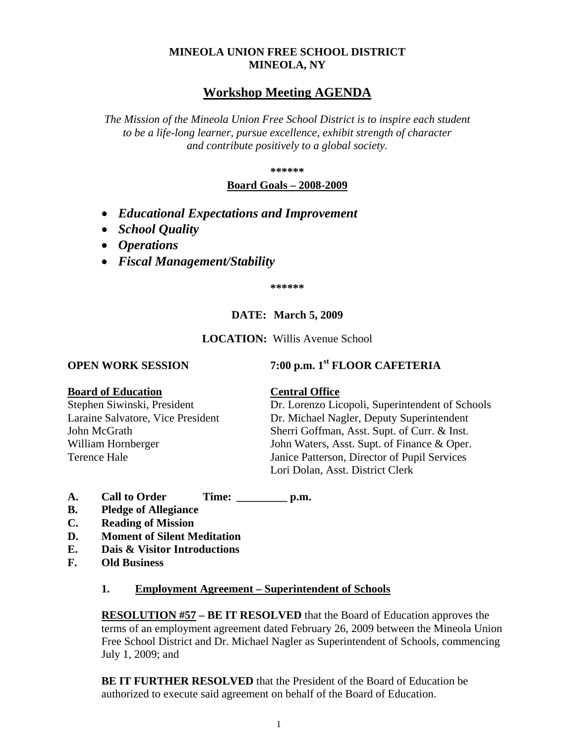## **MINEOLA UNION FREE SCHOOL DISTRICT MINEOLA, NY**

## **Workshop Meeting AGENDA**

*The Mission of the Mineola Union Free School District is to inspire each student to be a life-long learner, pursue excellence, exhibit strength of character and contribute positively to a global society.*

**\*\*\*\*\*\***

### **Board Goals – 2008-2009**

- *Educational Expectations and Improvement*
- *School Quality*
- *Operations*
- *Fiscal Management/Stability*

**\*\*\*\*\*\***

## **DATE: March 5, 2009**

### **LOCATION:** Willis Avenue School

# **OPEN WORK SESSION 7:00 p.m. 1st FLOOR CAFETERIA**

### **Board of Education Central Office**

Stephen Siwinski, President Dr. Lorenzo Licopoli, Superintendent of Schools Laraine Salvatore, Vice President Dr. Michael Nagler, Deputy Superintendent John McGrath Sherri Goffman, Asst. Supt. of Curr. & Inst. William Hornberger John Waters, Asst. Supt. of Finance & Oper. Terence Hale Janice Patterson, Director of Pupil Services Lori Dolan, Asst. District Clerk

- **A. Call to Order Time: \_\_\_\_\_\_\_\_\_ p.m.**
- **B. Pledge of Allegiance**
- **C. Reading of Mission**
- **D. Moment of Silent Meditation**
- **E. Dais & Visitor Introductions**
- **F. Old Business**

### **1. Employment Agreement – Superintendent of Schools**

**RESOLUTION #57 – BE IT RESOLVED** that the Board of Education approves the terms of an employment agreement dated February 26, 2009 between the Mineola Union Free School District and Dr. Michael Nagler as Superintendent of Schools, commencing July 1, 2009; and

**BE IT FURTHER RESOLVED** that the President of the Board of Education be authorized to execute said agreement on behalf of the Board of Education.